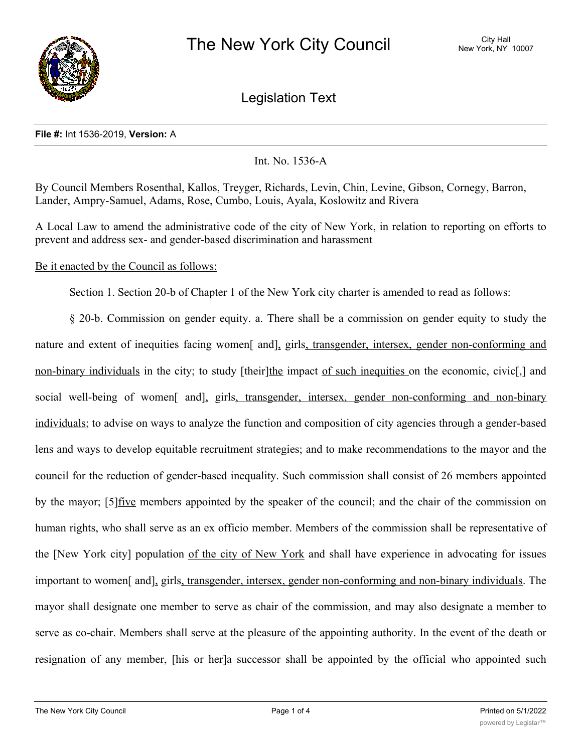

Legislation Text

## **File #:** Int 1536-2019, **Version:** A

Int. No. 1536-A

By Council Members Rosenthal, Kallos, Treyger, Richards, Levin, Chin, Levine, Gibson, Cornegy, Barron, Lander, Ampry-Samuel, Adams, Rose, Cumbo, Louis, Ayala, Koslowitz and Rivera

A Local Law to amend the administrative code of the city of New York, in relation to reporting on efforts to prevent and address sex- and gender-based discrimination and harassment

## Be it enacted by the Council as follows:

Section 1. Section 20-b of Chapter 1 of the New York city charter is amended to read as follows:

§ 20-b. Commission on gender equity. a. There shall be a commission on gender equity to study the nature and extent of inequities facing women<sup>[</sup> and], girls, transgender, intersex, gender non-conforming and non-binary individuals in the city; to study [their]the impact of such inequities on the economic, civic[,] and social well-being of women<sup>[</sup> and], girls, transgender, intersex, gender non-conforming and non-binary individuals; to advise on ways to analyze the function and composition of city agencies through a gender-based lens and ways to develop equitable recruitment strategies; and to make recommendations to the mayor and the council for the reduction of gender-based inequality. Such commission shall consist of 26 members appointed by the mayor; [5]five members appointed by the speaker of the council; and the chair of the commission on human rights, who shall serve as an ex officio member. Members of the commission shall be representative of the [New York city] population of the city of New York and shall have experience in advocating for issues important to women[ and], girls, transgender, intersex, gender non-conforming and non-binary individuals. The mayor shall designate one member to serve as chair of the commission, and may also designate a member to serve as co-chair. Members shall serve at the pleasure of the appointing authority. In the event of the death or resignation of any member, [his or her]a successor shall be appointed by the official who appointed such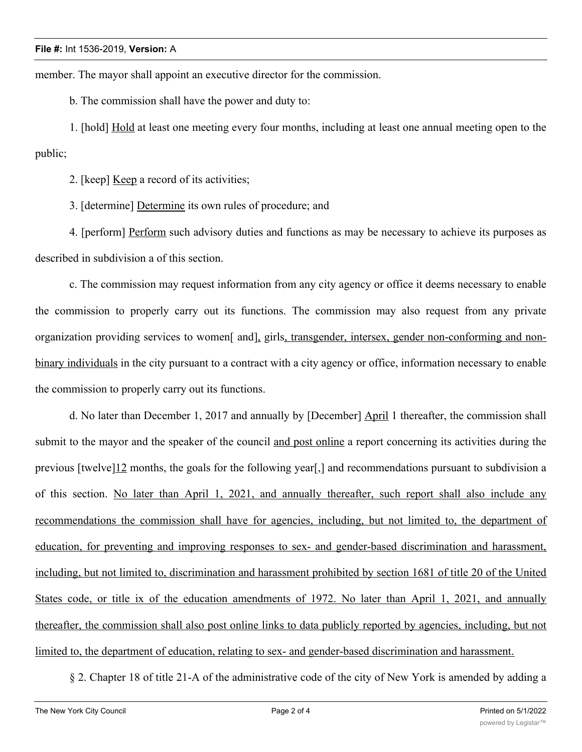member. The mayor shall appoint an executive director for the commission.

b. The commission shall have the power and duty to:

1. [hold] Hold at least one meeting every four months, including at least one annual meeting open to the public;

2. [keep] Keep a record of its activities;

3. [determine] Determine its own rules of procedure; and

4. [perform] Perform such advisory duties and functions as may be necessary to achieve its purposes as described in subdivision a of this section.

c. The commission may request information from any city agency or office it deems necessary to enable the commission to properly carry out its functions. The commission may also request from any private organization providing services to women[ and], girls, transgender, intersex, gender non-conforming and nonbinary individuals in the city pursuant to a contract with a city agency or office, information necessary to enable the commission to properly carry out its functions.

d. No later than December 1, 2017 and annually by [December] April 1 thereafter, the commission shall submit to the mayor and the speaker of the council and post online a report concerning its activities during the previous [twelve]12 months, the goals for the following year[,] and recommendations pursuant to subdivision a of this section. No later than April 1, 2021, and annually thereafter, such report shall also include any recommendations the commission shall have for agencies, including, but not limited to, the department of education, for preventing and improving responses to sex- and gender-based discrimination and harassment, including, but not limited to, discrimination and harassment prohibited by section 1681 of title 20 of the United States code, or title ix of the education amendments of 1972. No later than April 1, 2021, and annually thereafter, the commission shall also post online links to data publicly reported by agencies, including, but not limited to, the department of education, relating to sex- and gender-based discrimination and harassment.

§ 2. Chapter 18 of title 21-A of the administrative code of the city of New York is amended by adding a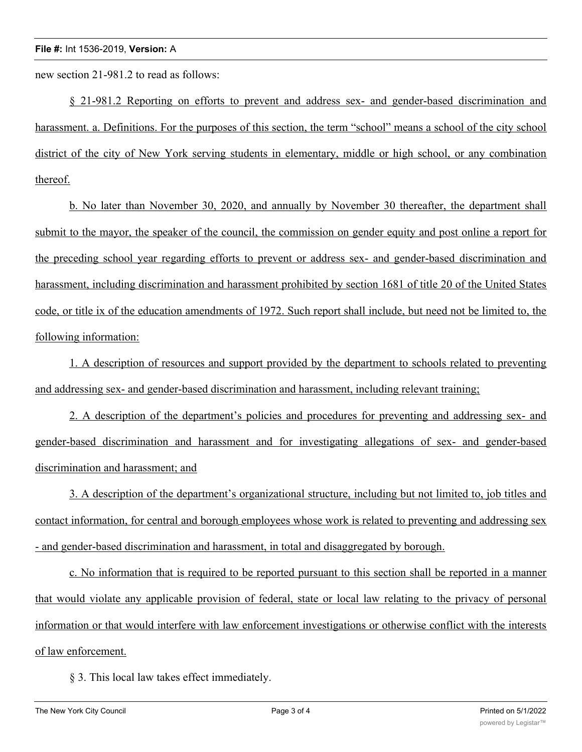new section 21-981.2 to read as follows:

§ 21-981.2 Reporting on efforts to prevent and address sex- and gender-based discrimination and harassment. a. Definitions. For the purposes of this section, the term "school" means a school of the city school district of the city of New York serving students in elementary, middle or high school, or any combination thereof.

b. No later than November 30, 2020, and annually by November 30 thereafter, the department shall submit to the mayor, the speaker of the council, the commission on gender equity and post online a report for the preceding school year regarding efforts to prevent or address sex- and gender-based discrimination and harassment, including discrimination and harassment prohibited by section 1681 of title 20 of the United States code, or title ix of the education amendments of 1972. Such report shall include, but need not be limited to, the following information:

1. A description of resources and support provided by the department to schools related to preventing and addressing sex- and gender-based discrimination and harassment, including relevant training;

2. A description of the department's policies and procedures for preventing and addressing sex- and gender-based discrimination and harassment and for investigating allegations of sex- and gender-based discrimination and harassment; and

3. A description of the department's organizational structure, including but not limited to, job titles and contact information, for central and borough employees whose work is related to preventing and addressing sex - and gender-based discrimination and harassment, in total and disaggregated by borough.

c. No information that is required to be reported pursuant to this section shall be reported in a manner that would violate any applicable provision of federal, state or local law relating to the privacy of personal information or that would interfere with law enforcement investigations or otherwise conflict with the interests of law enforcement.

§ 3. This local law takes effect immediately.